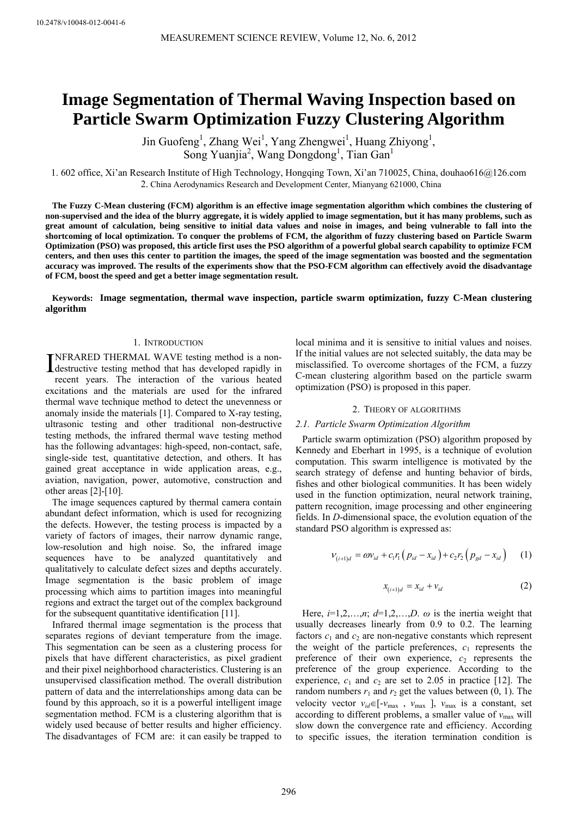# **Image Segmentation of Thermal Waving Inspection based on Particle Swarm Optimization Fuzzy Clustering Algorithm**

Jin Guofeng<sup>1</sup>, Zhang Wei<sup>1</sup>, Yang Zhengwei<sup>1</sup>, Huang Zhiyong<sup>1</sup>, Song Yuanjia<sup>2</sup>, Wang Dongdong<sup>1</sup>, Tian Gan<sup>1</sup>

1. 602 office, Xi'an Research Institute of High Technology, Hongqing Town, Xi'an 710025, China, douhao616@126.com 2. China Aerodynamics Research and Development Center, Mianyang 621000, China

**The Fuzzy C-Mean clustering (FCM) algorithm is an effective image segmentation algorithm which combines the clustering of non-supervised and the idea of the blurry aggregate, it is widely applied to image segmentation, but it has many problems, such as great amount of calculation, being sensitive to initial data values and noise in images, and being vulnerable to fall into the shortcoming of local optimization. To conquer the problems of FCM, the algorithm of fuzzy clustering based on Particle Swarm Optimization (PSO) was proposed, this article first uses the PSO algorithm of a powerful global search capability to optimize FCM centers, and then uses this center to partition the images, the speed of the image segmentation was boosted and the segmentation accuracy was improved. The results of the experiments show that the PSO-FCM algorithm can effectively avoid the disadvantage of FCM, boost the speed and get a better image segmentation result.** 

**Keywords: Image segmentation, thermal wave inspection, particle swarm optimization, fuzzy C-Mean clustering algorithm** 

## 1. INTRODUCTION

NFRARED THERMAL WAVE testing method is a non-INFRARED THERMAL WAVE testing method is a non-<br>destructive testing method that has developed rapidly in

recent years. The interaction of the various heated excitations and the materials are used for the infrared thermal wave technique method to detect the unevenness or anomaly inside the materials [1]. Compared to X-ray testing, ultrasonic testing and other traditional non-destructive testing methods, the infrared thermal wave testing method has the following advantages: high-speed, non-contact, safe, single-side test, quantitative detection, and others. It has gained great acceptance in wide application areas, e.g., aviation, navigation, power, automotive, construction and other areas [2]-[10].

The image sequences captured by thermal camera contain abundant defect information, which is used for recognizing the defects. However, the testing process is impacted by a variety of factors of images, their narrow dynamic range, low-resolution and high noise. So, the infrared image sequences have to be analyzed quantitatively and qualitatively to calculate defect sizes and depths accurately. Image segmentation is the basic problem of image processing which aims to partition images into meaningful regions and extract the target out of the complex background for the subsequent quantitative identification [11].

Infrared thermal image segmentation is the process that separates regions of deviant temperature from the image. This segmentation can be seen as a clustering process for pixels that have different characteristics, as pixel gradient and their pixel neighborhood characteristics. Clustering is an unsupervised classification method. The overall distribution pattern of data and the interrelationships among data can be found by this approach, so it is a powerful intelligent image segmentation method. FCM is a clustering algorithm that is widely used because of better results and higher efficiency. The disadvantages of FCM are: it can easily be trapped to

local minima and it is sensitive to initial values and noises. If the initial values are not selected suitably, the data may be misclassified. To overcome shortages of the FCM, a fuzzy C-mean clustering algorithm based on the particle swarm optimization (PSO) is proposed in this paper.

#### 2. THEORY OF ALGORITHMS

#### *2.1. Particle Swarm Optimization Algorithm*

Particle swarm optimization (PSO) algorithm proposed by Kennedy and Eberhart in 1995, is a technique of evolution computation. This swarm intelligence is motivated by the search strategy of defense and hunting behavior of birds, fishes and other biological communities. It has been widely used in the function optimization, neural network training, pattern recognition, image processing and other engineering fields. In *D*-dimensional space, the evolution equation of the standard PSO algorithm is expressed as:

$$
V_{(i+1)d} = \omega V_{id} + c_1 r_1 (p_{id} - x_{id}) + c_2 r_2 (p_{gd} - x_{id}) \qquad (1)
$$

$$
x_{(i+1)d} = x_{id} + v_{id}
$$
 (2)

Here,  $i=1,2,...,n$ ;  $d=1,2,...,D$ .  $\omega$  is the inertia weight that usually decreases linearly from 0.9 to 0.2. The learning factors  $c_1$  and  $c_2$  are non-negative constants which represent the weight of the particle preferences,  $c_1$  represents the preference of their own experience,  $c_2$  represents the preference of the group experience. According to the experience,  $c_1$  and  $c_2$  are set to 2.05 in practice [12]. The random numbers  $r_1$  and  $r_2$  get the values between  $(0, 1)$ . The velocity vector  $v_{id} \in [-v_{max}, v_{max}]$ ,  $v_{max}$  is a constant, set according to different problems, a smaller value of  $v_{\text{max}}$  will slow down the convergence rate and efficiency. According to specific issues, the iteration termination condition is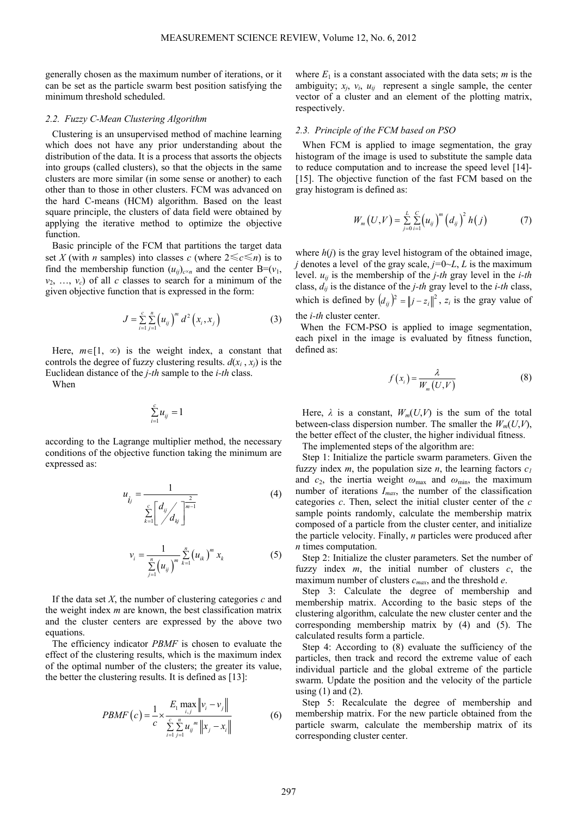generally chosen as the maximum number of iterations, or it can be set as the particle swarm best position satisfying the minimum threshold scheduled.

## *2.2. Fuzzy C-Mean Clustering Algorithm*

Clustering is an unsupervised method of machine learning which does not have any prior understanding about the distribution of the data. It is a process that assorts the objects into groups (called clusters), so that the objects in the same clusters are more similar (in some sense or another) to each other than to those in other clusters. FCM was advanced on the hard C-means (HCM) algorithm. Based on the least square principle, the clusters of data field were obtained by applying the iterative method to optimize the objective function.

Basic principle of the FCM that partitions the target data set *X* (with *n* samples) into classes *c* (where  $2 \le c \le n$ ) is to find the membership function  $(u_{ij})_{c \times n}$  and the center B=( $v_1$ ,  $v_2, \ldots, v_c$  of all *c* classes to search for a minimum of the given objective function that is expressed in the form:

$$
J = \sum_{i=1}^{c} \sum_{j=1}^{n} (u_{ij})^{m} d^{2} (x_{i}, x_{j})
$$
 (3)

Here,  $m \in [1, \infty)$  is the weight index, a constant that controls the degree of fuzzy clustering results.  $d(x_i, x_j)$  is the Euclidean distance of the *j-th* sample to the *i-th* class.

When

$$
\sum_{i=1}^c u_{ij} = 1
$$

according to the Lagrange multiplier method, the necessary conditions of the objective function taking the minimum are expressed as:

$$
u_{i_j} = \frac{1}{\sum_{k=1}^{c} \left[ \frac{d_{ij}}{d_{kj}} \right]^{\frac{2}{m-1}}}
$$
(4)

$$
v_i = \frac{1}{\sum_{j=1}^n (u_{ij})^m} \sum_{k=1}^n (u_{ik})^m x_k
$$
 (5)

If the data set *X*, the number of clustering categories *c* and the weight index *m* are known, the best classification matrix and the cluster centers are expressed by the above two equations.

The efficiency indicator *PBMF* is chosen to evaluate the effect of the clustering results, which is the maximum index of the optimal number of the clusters; the greater its value, the better the clustering results. It is defined as [13]:

$$
PBMF\left(c\right) = \frac{1}{c} \times \frac{E_1 \max_{i,j} \|v_i - v_j\|}{\sum_{i=1}^{c} \sum_{j=1}^{n} u_{ij}^m \|x_j - x_i\|}
$$
(6)

where  $E_1$  is a constant associated with the data sets; *m* is the ambiguity;  $x_i$ ,  $v_i$ ,  $u_{ij}$  represent a single sample, the center vector of a cluster and an element of the plotting matrix, respectively.

#### *2.3. Principle of the FCM based on PSO*

When FCM is applied to image segmentation, the gray histogram of the image is used to substitute the sample data to reduce computation and to increase the speed level [14]- [15]. The objective function of the fast FCM based on the gray histogram is defined as:

$$
W_m(U,V) = \sum_{j=0}^{L} \sum_{i=1}^{C} (u_{ij})^m (d_{ij})^2 h(j)
$$
 (7)

where  $h(i)$  is the grav level histogram of the obtained image, *j* denotes a level of the gray scale,  $j=0-L, L$  is the maximum level. *uij* is the membership of the *j-th* gray level in the *i-th* class,  $d_{ij}$  is the distance of the *j-th* gray level to the *i-th* class, which is defined by  $(d_{ij})^2 = ||j - z_i||^2$ ,  $z_i$  is the gray value of the *i-th* cluster center.

When the FCM-PSO is applied to image segmentation, each pixel in the image is evaluated by fitness function, defined as:

$$
f(x_i) = \frac{\lambda}{W_m(U, V)}
$$
 (8)

Here,  $\lambda$  is a constant,  $W_m(U,V)$  is the sum of the total between-class dispersion number. The smaller the  $W_m(U,V)$ , the better effect of the cluster, the higher individual fitness.

The implemented steps of the algorithm are:

Step 1: Initialize the particle swarm parameters. Given the fuzzy index  $m$ , the population size  $n$ , the learning factors  $c_1$ and  $c_2$ , the inertia weight  $\omega_{\text{max}}$  and  $\omega_{\text{min}}$ , the maximum number of iterations *Imax*, the number of the classification categories *c*. Then, select the initial cluster center of the *c* sample points randomly, calculate the membership matrix composed of a particle from the cluster center, and initialize the particle velocity. Finally, *n* particles were produced after *n* times computation.

Step 2: Initialize the cluster parameters. Set the number of fuzzy index *m*, the initial number of clusters *c*, the maximum number of clusters *cmax*, and the threshold *e*.

Step 3: Calculate the degree of membership and membership matrix. According to the basic steps of the clustering algorithm, calculate the new cluster center and the corresponding membership matrix by (4) and (5). The calculated results form a particle.

Step 4: According to (8) evaluate the sufficiency of the particles, then track and record the extreme value of each individual particle and the global extreme of the particle swarm. Update the position and the velocity of the particle using  $(1)$  and  $(2)$ .

Step 5: Recalculate the degree of membership and membership matrix. For the new particle obtained from the particle swarm, calculate the membership matrix of its corresponding cluster center.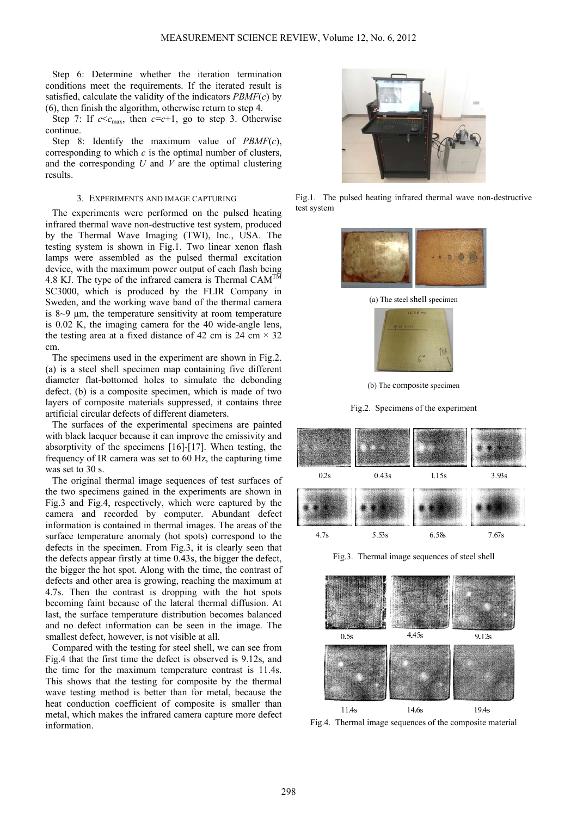Step 6: Determine whether the iteration termination conditions meet the requirements. If the iterated result is satisfied, calculate the validity of the indicators *PBMF*(*c*) by (6), then finish the algorithm, otherwise return to step 4.

Step 7: If  $c \leq c_{\text{max}}$ , then  $c = c + 1$ , go to step 3. Otherwise continue.

Step 8: Identify the maximum value of *PBMF*(*c*), corresponding to which *c* is the optimal number of clusters, and the corresponding *U* and *V* are the optimal clustering results.

### 3. EXPERIMENTS AND IMAGE CAPTURING

The experiments were performed on the pulsed heating infrared thermal wave non-destructive test system, produced by the Thermal Wave Imaging (TWI), Inc., USA. The testing system is shown in Fig.1. Two linear xenon flash lamps were assembled as the pulsed thermal excitation device, with the maximum power output of each flash being 4.8 KJ. The type of the infrared camera is Thermal  $CAM^{TM}$ SC3000, which is produced by the FLIR Company in Sweden, and the working wave band of the thermal camera is 8~9 μm, the temperature sensitivity at room temperature is 0.02 K, the imaging camera for the 40 wide-angle lens, the testing area at a fixed distance of 42 cm is 24 cm  $\times$  32 cm.

The specimens used in the experiment are shown in Fig.2. (a) is a steel shell specimen map containing five different diameter flat-bottomed holes to simulate the debonding defect. (b) is a composite specimen, which is made of two layers of composite materials suppressed, it contains three artificial circular defects of different diameters.

The surfaces of the experimental specimens are painted with black lacquer because it can improve the emissivity and absorptivity of the specimens [16]-[17]. When testing, the frequency of IR camera was set to 60 Hz, the capturing time was set to 30 s.

The original thermal image sequences of test surfaces of the two specimens gained in the experiments are shown in Fig.3 and Fig.4, respectively, which were captured by the camera and recorded by computer. Abundant defect information is contained in thermal images. The areas of the surface temperature anomaly (hot spots) correspond to the defects in the specimen. From Fig.3, it is clearly seen that the defects appear firstly at time 0.43s, the bigger the defect, the bigger the hot spot. Along with the time, the contrast of defects and other area is growing, reaching the maximum at 4.7s. Then the contrast is dropping with the hot spots becoming faint because of the lateral thermal diffusion. At last, the surface temperature distribution becomes balanced and no defect information can be seen in the image. The smallest defect, however, is not visible at all.

Compared with the testing for steel shell, we can see from Fig.4 that the first time the defect is observed is 9.12s, and the time for the maximum temperature contrast is 11.4s. This shows that the testing for composite by the thermal wave testing method is better than for metal, because the heat conduction coefficient of composite is smaller than metal, which makes the infrared camera capture more defect information.



Fig.1. The pulsed heating infrared thermal wave non-destructive test system



(a) The steel shell specimen



(b) The composite specimen

Fig.2. Specimens of the experiment



Fig.3. Thermal image sequences of steel shell



Fig.4. Thermal image sequences of the composite material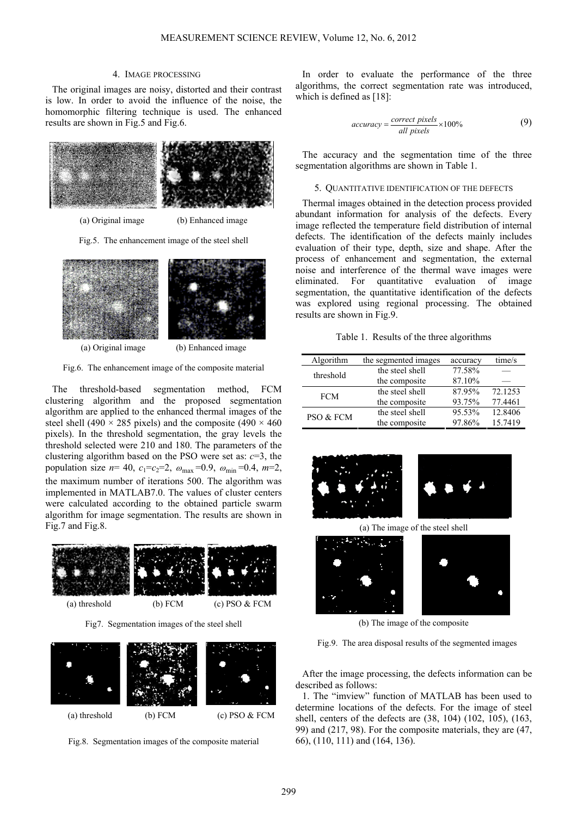#### 4. IMAGE PROCESSING

The original images are noisy, distorted and their contrast is low. In order to avoid the influence of the noise, the homomorphic filtering technique is used. The enhanced results are shown in Fig.5 and Fig.6.



(a) Original image (b) Enhanced image

Fig.5. The enhancement image of the steel shell



Fig.6. The enhancement image of the composite material

The threshold-based segmentation method, FCM clustering algorithm and the proposed segmentation algorithm are applied to the enhanced thermal images of the steel shell (490  $\times$  285 pixels) and the composite (490  $\times$  460 pixels). In the threshold segmentation, the gray levels the threshold selected were 210 and 180. The parameters of the clustering algorithm based on the PSO were set as:  $c=3$ , the population size  $n= 40$ ,  $c_1 = c_2 = 2$ ,  $\omega_{\text{max}} = 0.9$ ,  $\omega_{\text{min}} = 0.4$ ,  $m=2$ , the maximum number of iterations 500. The algorithm was implemented in MATLAB7.0. The values of cluster centers were calculated according to the obtained particle swarm algorithm for image segmentation. The results are shown in Fig.7 and Fig.8.



Fig7. Segmentation images of the steel shell



Fig.8. Segmentation images of the composite material

In order to evaluate the performance of the three algorithms, the correct segmentation rate was introduced, which is defined as [18]:

$$
accuracy = \frac{correct\ pixels}{all\ pixels} \times 100\%
$$
 (9)

The accuracy and the segmentation time of the three segmentation algorithms are shown in Table 1.

## 5. QUANTITATIVE IDENTIFICATION OF THE DEFECTS

Thermal images obtained in the detection process provided abundant information for analysis of the defects. Every image reflected the temperature field distribution of internal defects. The identification of the defects mainly includes evaluation of their type, depth, size and shape. After the process of enhancement and segmentation, the external noise and interference of the thermal wave images were eliminated. For quantitative evaluation of image segmentation, the quantitative identification of the defects was explored using regional processing. The obtained results are shown in Fig.9.

Table 1. Results of the three algorithms

| Algorithm  | the segmented images | accuracy | time/s  |
|------------|----------------------|----------|---------|
| threshold  | the steel shell      | 77.58%   |         |
|            | the composite        | 87.10%   |         |
| <b>FCM</b> | the steel shell      | 87.95%   | 72.1253 |
|            | the composite        | 93.75%   | 77.4461 |
| PSO & FCM  | the steel shell      | 95.53%   | 12.8406 |
|            | the composite        | 97.86%   | 15.7419 |
|            |                      |          |         |





(a) The image of the steel shell



(b) The image of the composite

Fig.9. The area disposal results of the segmented images

After the image processing, the defects information can be described as follows:

1. The "imview" function of MATLAB has been used to determine locations of the defects. For the image of steel shell, centers of the defects are (38, 104) (102, 105), (163, 99) and (217, 98). For the composite materials, they are (47, 66), (110, 111) and (164, 136).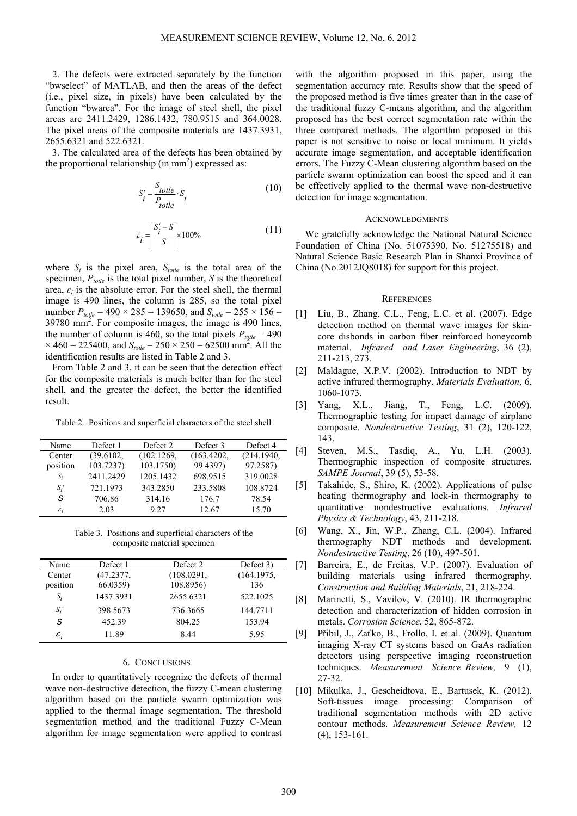2. The defects were extracted separately by the function "bwselect" of MATLAB, and then the areas of the defect (i.e., pixel size, in pixels) have been calculated by the function "bwarea". For the image of steel shell, the pixel areas are 2411.2429, 1286.1432, 780.9515 and 364.0028. The pixel areas of the composite materials are 1437.3931, 2655.6321 and 522.6321.

3. The calculated area of the defects has been obtained by the proportional relationship (in  $mm<sup>2</sup>$ ) expressed as:

$$
S'_{i} = \frac{S_{\text{totle}}}{P_{\text{totle}}} \cdot S_{i}
$$
 (10)

$$
\varepsilon_{i} = \left| \frac{S_{i}' - S}{S} \right| \times 100\% \tag{11}
$$

where  $S_i$  is the pixel area,  $S_{\text{totle}}$  is the total area of the specimen, *Ptotle* is the total pixel number, *S* is the theoretical area,  $\varepsilon_i$  is the absolute error. For the steel shell, the thermal image is 490 lines, the column is 285, so the total pixel number  $P_{\text{tottle}} = 490 \times 285 = 139650$ , and  $S_{\text{tottle}} = 255 \times 156 =$ 39780 mm2 . For composite images, the image is 490 lines, the number of column is 460, so the total pixels  $P_{\text{total}} = 490$  $\times$  460 = 225400, and  $S_{\text{tolle}} = 250 \times 250 = 62500 \text{ mm}^2$ . All the identification results are listed in Table 2 and 3.

From Table 2 and 3, it can be seen that the detection effect for the composite materials is much better than for the steel shell, and the greater the defect, the better the identified result.

Table 2. Positions and superficial characters of the steel shell

| Name            | Defect 1  | Defect 2   | Defect 3   | Defect 4   |
|-----------------|-----------|------------|------------|------------|
| Center          | (39.6102, | (102.1269, | (163.4202, | (214.1940, |
| position        | 103.7237  | 103.1750)  | 99.4397)   | 97.2587)   |
| $S_i$           | 2411.2429 | 1205.1432  | 698.9515   | 319.0028   |
| $S_i$ '         | 721.1973  | 343.2850   | 233.5808   | 108.8724   |
| S               | 706.86    | 314.16     | 176.7      | 78.54      |
| $\varepsilon_i$ | 2.03      | 9 27       | 12.67      | 15.70      |

Table 3. Positions and superficial characters of the composite material specimen

| Name            | Defect 1  | Defect 2   | Defect 3)  |
|-----------------|-----------|------------|------------|
| Center          | (47.2377, | (108.0291, | (164.1975, |
| position        | 66.0359)  | 108.8956)  | 136        |
| $S_i$           | 1437.3931 | 2655.6321  | 522.1025   |
| $S_i'$          | 398.5673  | 736.3665   | 144.7711   |
| S               | 452.39    | 804.25     | 153.94     |
| $\varepsilon_i$ | 11.89     | 8.44       | 5.95       |

## 6. CONCLUSIONS

In order to quantitatively recognize the defects of thermal wave non-destructive detection, the fuzzy C-mean clustering algorithm based on the particle swarm optimization was applied to the thermal image segmentation. The threshold segmentation method and the traditional Fuzzy C-Mean algorithm for image segmentation were applied to contrast

with the algorithm proposed in this paper, using the segmentation accuracy rate. Results show that the speed of the proposed method is five times greater than in the case of the traditional fuzzy C-means algorithm, and the algorithm proposed has the best correct segmentation rate within the three compared methods. The algorithm proposed in this paper is not sensitive to noise or local minimum. It yields accurate image segmentation, and acceptable identification errors. The Fuzzy C-Mean clustering algorithm based on the particle swarm optimization can boost the speed and it can be effectively applied to the thermal wave non-destructive detection for image segmentation.

#### ACKNOWLEDGMENTS

We gratefully acknowledge the National Natural Science Foundation of China (No. 51075390, No. 51275518) and Natural Science Basic Research Plan in Shanxi Province of China (No.2012JQ8018) for support for this project.

#### **REFERENCES**

- [1] Liu, B., Zhang, C.L., Feng, L.C. et al. (2007). Edge detection method on thermal wave images for skincore disbonds in carbon fiber reinforced honeycomb material. *Infrared and Laser Engineering*, 36 (2), 211-213, 273.
- [2] Maldague, X.P.V. (2002). Introduction to NDT by active infrared thermography. *Materials Evaluation*, 6, 1060-1073.
- [3] Yang, X.L., Jiang, T., Feng, L.C. (2009). Thermographic testing for impact damage of airplane composite. *Nondestructive Testing*, 31 (2), 120-122, 143.
- [4] Steven, M.S., Tasdiq, A., Yu, L.H. (2003). Thermographic inspection of composite structures. *SAMPE Journal*, 39 (5), 53-58.
- [5] Takahide, S., Shiro, K. (2002). Applications of pulse heating thermography and lock-in thermography to quantitative nondestructive evaluations. *Infrared Physics & Technology*, 43, 211-218.
- [6] Wang, X., Jin, W.P., Zhang, C.L. (2004). Infrared thermography NDT methods and development. *Nondestructive Testing*, 26 (10), 497-501.
- [7] Barreira, E., de Freitas, V.P. (2007). Evaluation of building materials using infrared thermography. *Construction and Building Materials*, 21, 218-224.
- [8] Marinetti, S., Vavilov, V. (2010). IR thermographic detection and characterization of hidden corrosion in metals. *Corrosion Science*, 52, 865-872.
- [9] Přibil, J., Zaťko, B., Frollo, I. et al. (2009). Quantum imaging X-ray CT systems based on GaAs radiation detectors using perspective imaging reconstruction techniques. *Measurement Science Review,* 9 (1), 27-32.
- [10] Mikulka, J., Gescheidtova, E., Bartusek, K. (2012). Soft-tissues image processing: Comparison of traditional segmentation methods with 2D active contour methods. *Measurement Science Review,* 12 (4), 153-161.